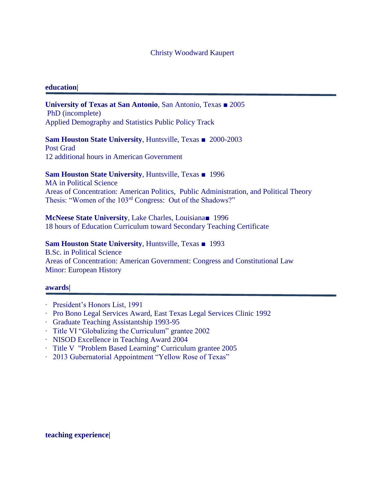### Christy Woodward Kaupert

### **education|**

**University of Texas at San Antonio**, San Antonio, Texas ■ 2005 PhD (incomplete) Applied Demography and Statistics Public Policy Track

**Sam Houston State University**, Huntsville, Texas ■ 2000-2003 Post Grad

12 additional hours in American Government

## **Sam Houston State University**, Huntsville, Texas ■ 1996

MA in Political Science Areas of Concentration: American Politics, Public Administration, and Political Theory Thesis: "Women of the 103rd Congress: Out of the Shadows?"

**McNeese State University**, Lake Charles, Louisiana■ 1996 18 hours of Education Curriculum toward Secondary Teaching Certificate

### **Sam Houston State University**, Huntsville, Texas ■ 1993

B.Sc. in Political Science Areas of Concentration: American Government: Congress and Constitutional Law Minor: European History

### **awards|**

- ∙ President's Honors List, 1991
- ∙ Pro Bono Legal Services Award, East Texas Legal Services Clinic 1992
- ∙ Graduate Teaching Assistantship 1993-95
- ∙ Title VI "Globalizing the Curriculum" grantee 2002
- ∙ NISOD Excellence in Teaching Award 2004
- ∙ Title V "Problem Based Learning" Curriculum grantee 2005
- ∙ 2013 Gubernatorial Appointment "Yellow Rose of Texas"

### **teaching experience|**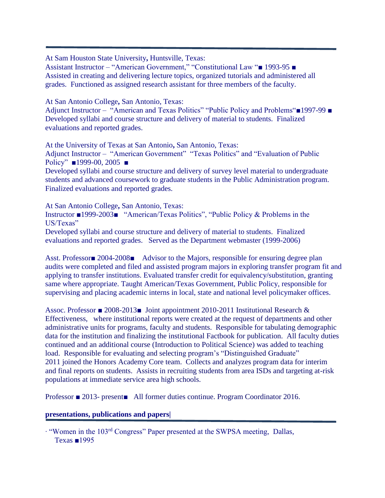At Sam Houston State University**,** Huntsville, Texas:

Assistant Instructor – "American Government," "Constitutional Law "■ 1993-95 ■ Assisted in creating and delivering lecture topics, organized tutorials and administered all grades. Functioned as assigned research assistant for three members of the faculty.

At San Antonio College**,** San Antonio, Texas:

Adjunct Instructor – "American and Texas Politics" "Public Policy and Problems"■1997-99 ■ Developed syllabi and course structure and delivery of material to students. Finalized evaluations and reported grades.

At the University of Texas at San Antonio**,** San Antonio, Texas: Adjunct Instructor – "American Government" "Texas Politics" and "Evaluation of Public Policy" **■1999-00, 2005** ■

Developed syllabi and course structure and delivery of survey level material to undergraduate students and advanced coursework to graduate students in the Public Administration program. Finalized evaluations and reported grades.

At San Antonio College**,** San Antonio, Texas:

Instructor ■1999-2003■ "American/Texas Politics", "Public Policy & Problems in the US/Texas"

Developed syllabi and course structure and delivery of material to students. Finalized evaluations and reported grades. Served as the Department webmaster (1999-2006)

Asst. Professor■ 2004-2008■ Advisor to the Majors, responsible for ensuring degree plan audits were completed and filed and assisted program majors in exploring transfer program fit and applying to transfer institutions. Evaluated transfer credit for equivalency/substitution, granting same where appropriate. Taught American/Texas Government, Public Policy, responsible for supervising and placing academic interns in local, state and national level policymaker offices.

Assoc. Professor ■ 2008-2013■ Joint appointment 2010-2011 Institutional Research & Effectiveness, where institutional reports were created at the request of departments and other administrative units for programs, faculty and students. Responsible for tabulating demographic data for the institution and finalizing the institutional Factbook for publication. All faculty duties continued and an additional course (Introduction to Political Science) was added to teaching load. Responsible for evaluating and selecting program's "Distinguished Graduate" 2011 joined the Honors Academy Core team. Collects and analyzes program data for interim and final reports on students. Assists in recruiting students from area ISDs and targeting at-risk populations at immediate service area high schools.

Professor ■ 2013- present■ All former duties continue. Program Coordinator 2016.

# **presentations, publications and papers|**

∙ "Women in the 103rd Congress" Paper presented at the SWPSA meeting, Dallas, Texas ■1995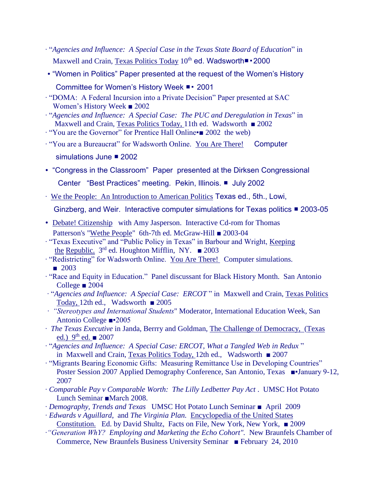- ∙ "*Agencies and Influence: A Special Case in the Texas State Board of Education*" in Maxwell and Crain, Texas Politics Today 10<sup>th</sup> ed. Wadsworth■ • 2000
- ∙ "Women in Politics" Paper presented at the request of the Women's History
	- Committee for Women's History Week ■▪ 2001
- ∙ "DOMA: A Federal Incursion into a Private Decision" Paper presented at SAC Women's History Week ■ 2002
- ∙ "*Agencies and Influence: A Special Case: The PUC and Deregulation in Texas*" in Maxwell and Crain, Texas Politics Today, 11th ed. Wadsworth ■ 2002
- ∙ "You are the Governor" for Prentice Hall Online▪■ 2002 the web)
- ∙ "You are a Bureaucrat" for Wadsworth Online. You Are There! Computer
	- simulations June 2002
- ∙ "Congress in the Classroom" Paper presented at the Dirksen Congressional Center "Best Practices" meeting. Pekin, Illinois. ■ July 2002
- ∙ We the People: An Introduction to American Politics Texas ed., 5th., Lowi,
	- Ginzberg, and Weir. Interactive computer simulations for Texas politics 2003-05
- ∙ Debate! Citizenship with Amy Jasperson. Interactive Cd-rom for Thomas Patterson's "Wethe People" 6th-7th ed. McGraw-Hill ■ 2003-04
- ∙ "Texas Executive" and "Public Policy in Texas" in Barbour and Wright, Keeping the Republic. 3 rd ed. Houghton Mifflin, NY. ■ 2003
- ∙ "Redistricting" for Wadsworth Online. You Are There! Computer simulations. ■ 2003
- ∙ "Race and Equity in Education." Panel discussant for Black History Month. San Antonio College ■ 2004
- ∙ "*Agencies and Influence: A Special Case: ERCOT* " in Maxwell and Crain, Texas Politics Today, 12th ed., Wadsworth ■ 2005
- *∙ "Stereotypes and International Students*" Moderator, International Education Week, San Antonio College ■▪2005
- ∙ *The Texas Executive* in Janda, Berrry and Goldman, The Challenge of Democracy, (Texas ed.)  $9<sup>th</sup>$  ed.  $\blacksquare$  2007
- ∙ "*Agencies and Influence: A Special Case: ERCOT, What a Tangled Web in Redux* " in Maxwell and Crain, Texas Politics Today, 12th ed., Wadsworth ■ 2007
- ∙ "Migrants Bearing Economic Gifts: Measuring Remittance Use in Developing Countries" Poster Session 2007 Applied Demography Conference, San Antonio, Texas ■•January 9-12, 2007
- ∙ *Comparable Pay v Comparable Worth: The Lilly Ledbetter Pay Act* . UMSC Hot Potato Lunch Seminar ■March 2008.
- ∙ *Demography, Trends and Texas* UMSC Hot Potato Lunch Seminar April 2009
- ∙ *Edwards v Aguillard*, and *The Virginia Plan.* Encyclopedia of the United States Constitution. Ed. by David Shultz, Facts on File, New York, New York, ■ 2009
- ∙*"Generation WhY? Employing and Marketing the Echo Cohort".* New Braunfels Chamber of Commerce, New Braunfels Business University Seminar ■ February 24, 2010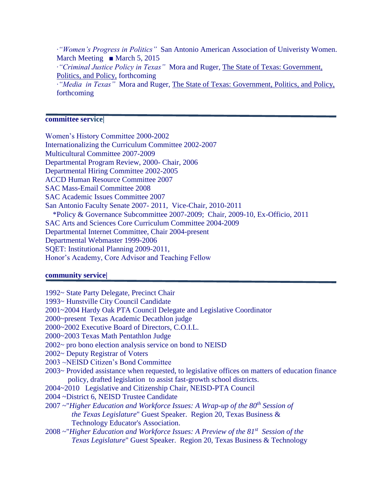∙*"Women's Progress in Politics"* San Antonio American Association of Univeristy Women. March Meeting  $\blacksquare$  March 5, 2015 ∙*"Criminal Justice Policy in Texas"* Mora and Ruger, The State of Texas: Government, Politics, and Policy, forthcoming ∙*"Media in Texas"* Mora and Ruger, The State of Texas: Government, Politics, and Policy, forthcoming

### **committee service|**

Women's History Committee 2000-2002 Internationalizing the Curriculum Committee 2002-2007 Multicultural Committee 2007-2009 Departmental Program Review, 2000- Chair, 2006 Departmental Hiring Committee 2002-2005 ACCD Human Resource Committee 2007 SAC Mass-Email Committee 2008 SAC Academic Issues Committee 2007 San Antonio Faculty Senate 2007- 2011, Vice-Chair, 2010-2011 \*Policy & Governance Subcommittee 2007-2009; Chair, 2009-10, Ex-Officio, 2011 SAC Arts and Sciences Core Curriculum Committee 2004-2009 Departmental Internet Committee, Chair 2004-present Departmental Webmaster 1999-2006 SQET: Institutional Planning 2009-2011, Honor's Academy, Core Advisor and Teaching Fellow

#### **community service|**

1992~ State Party Delegate, Precinct Chair

1993~ Hunstville City Council Candidate

2001~2004 Hardy Oak PTA Council Delegate and Legislative Coordinator

2000~present Texas Academic Decathlon judge

2000~2002 Executive Board of Directors, C.O.I.L.

- 2000~2003 Texas Math Pentathlon Judge
- 2002~ pro bono election analysis service on bond to NEISD
- 2002~ Deputy Registrar of Voters
- 2003 ~NEISD Citizen's Bond Committee
- 2003~ Provided assistance when requested, to legislative offices on matters of education finance policy, drafted legislation to assist fast-growth school districts.
- 2004~2010 Legislative and Citizenship Chair, NEISD-PTA Council
- 2004 ~District 6, NEISD Trustee Candidate
- 2007 ~"*Higher Education and Workforce Issues: A Wrap-up of the 80th Session of the Texas Legislature*" Guest Speaker. Region 20, Texas Business & Technology Educator's Association.
- 2008 ~"*Higher Education and Workforce Issues: A Preview of the 81st Session of the Texas Legislature*" Guest Speaker. Region 20, Texas Business & Technology